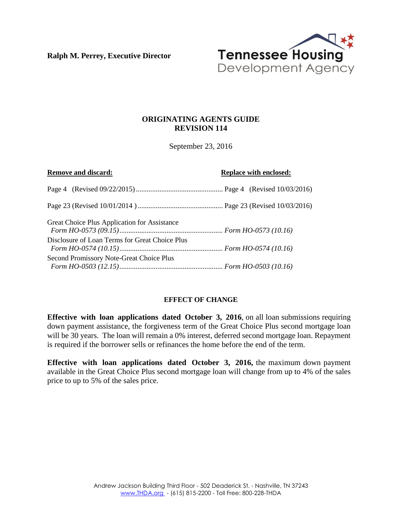**Ralph M. Perrey, Executive Director**



# **ORIGINATING AGENTS GUIDE REVISION 114**

September 23, 2016

| <b>Remove and discard:</b>                     | <b>Replace with enclosed:</b> |
|------------------------------------------------|-------------------------------|
|                                                |                               |
|                                                |                               |
| Great Choice Plus Application for Assistance   |                               |
| Disclosure of Loan Terms for Great Choice Plus |                               |
| Second Promissory Note-Great Choice Plus       |                               |

# **EFFECT OF CHANGE**

**Effective with loan applications dated October 3, 2016**, on all loan submissions requiring down payment assistance, the forgiveness term of the Great Choice Plus second mortgage loan will be 30 years. The loan will remain a 0% interest, deferred second mortgage loan. Repayment is required if the borrower sells or refinances the home before the end of the term.

**Effective with loan applications dated October 3, 2016,** the maximum down payment available in the Great Choice Plus second mortgage loan will change from up to 4% of the sales price to up to 5% of the sales price.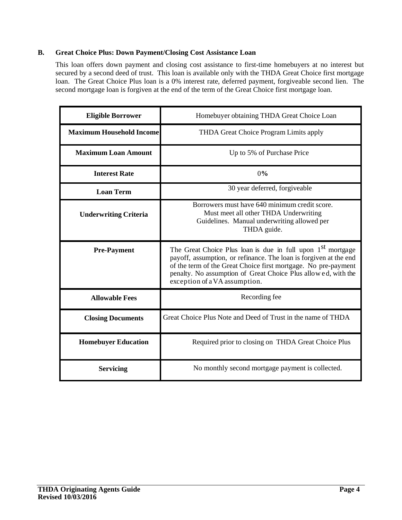# **B. Great Choice Plus: Down Payment/Closing Cost Assistance Loan**

This loan offers down payment and closing cost assistance to first-time homebuyers at no interest but secured by a second deed of trust. This loan is available only with the THDA Great Choice first mortgage loan. The Great Choice Plus loan is a 0% interest rate, deferred payment, forgiveable second lien. The second mortgage loan is forgiven at the end of the term of the Great Choice first mortgage loan.

| <b>Eligible Borrower</b>        | Homebuyer obtaining THDA Great Choice Loan                                                                                                                                                                                                                                                                       |
|---------------------------------|------------------------------------------------------------------------------------------------------------------------------------------------------------------------------------------------------------------------------------------------------------------------------------------------------------------|
| <b>Maximum Household Income</b> | THDA Great Choice Program Limits apply                                                                                                                                                                                                                                                                           |
| <b>Maximum Loan Amount</b>      | Up to 5% of Purchase Price                                                                                                                                                                                                                                                                                       |
| <b>Interest Rate</b>            | 0%                                                                                                                                                                                                                                                                                                               |
| <b>Loan Term</b>                | 30 year deferred, forgiveable                                                                                                                                                                                                                                                                                    |
| <b>Underwriting Criteria</b>    | Borrowers must have 640 minimum credit score.<br>Must meet all other THDA Underwriting<br>Guidelines. Manual underwriting allowed per<br>THDA guide.                                                                                                                                                             |
| <b>Pre-Payment</b>              | The Great Choice Plus loan is due in full upon 1 <sup>st</sup> mortgage<br>payoff, assumption, or refinance. The loan is forgiven at the end<br>of the term of the Great Choice first mortgage. No pre-payment<br>penalty. No assumption of Great Choice Plus allowed, with the<br>exception of a VA assumption. |
| <b>Allowable Fees</b>           | Recording fee                                                                                                                                                                                                                                                                                                    |
| <b>Closing Documents</b>        | Great Choice Plus Note and Deed of Trust in the name of THDA                                                                                                                                                                                                                                                     |
| <b>Homebuyer Education</b>      | Required prior to closing on THDA Great Choice Plus                                                                                                                                                                                                                                                              |
| <b>Servicing</b>                | No monthly second mortgage payment is collected.                                                                                                                                                                                                                                                                 |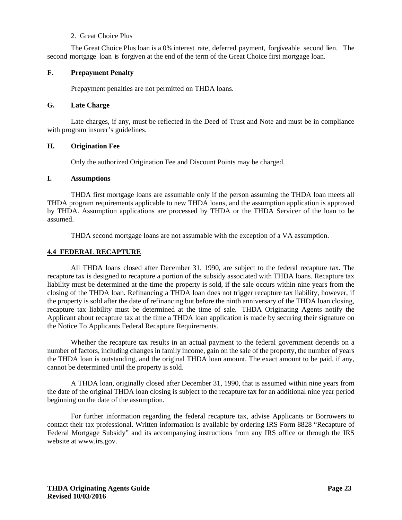# 2. Great Choice Plus

 The Great Choice Plus loan is a 0% interest rate, deferred payment, forgiveable second lien. The second mortgage loan is forgiven at the end of the term of the Great Choice first mortgage loan.

# **F. Prepayment Penalty**

Prepayment penalties are not permitted on THDA loans.

## **G. Late Charge**

Late charges, if any, must be reflected in the Deed of Trust and Note and must be in compliance with program insurer's guidelines.

# **H. Origination Fee**

Only the authorized Origination Fee and Discount Points may be charged.

## **I. Assumptions**

THDA first mortgage loans are assumable only if the person assuming the THDA loan meets all THDA program requirements applicable to new THDA loans, and the assumption application is approved by THDA. Assumption applications are processed by THDA or the THDA Servicer of the loan to be assumed.

THDA second mortgage loans are not assumable with the exception of a VA assumption.

# **4.4 FEDERAL RECAPTURE**

All THDA loans closed after December 31, 1990, are subject to the federal recapture tax. The recapture tax is designed to recapture a portion of the subsidy associated with THDA loans. Recapture tax liability must be determined at the time the property is sold, if the sale occurs within nine years from the closing of the THDA loan. Refinancing a THDA loan does not trigger recapture tax liability, however, if the property is sold after the date of refinancing but before the ninth anniversary of the THDA loan closing, recapture tax liability must be determined at the time of sale. THDA Originating Agents notify the Applicant about recapture tax at the time a THDA loan application is made by securing their signature on the Notice To Applicants Federal Recapture Requirements.

Whether the recapture tax results in an actual payment to the federal government depends on a number of factors, including changes in family income, gain on the sale of the property, the number of years the THDA loan is outstanding, and the original THDA loan amount. The exact amount to be paid, if any, cannot be determined until the property is sold.

A THDA loan, originally closed after December 31, 1990, that is assumed within nine years from the date of the original THDA loan closing is subject to the recapture tax for an additional nine year period beginning on the date of the assumption.

For further information regarding the federal recapture tax, advise Applicants or Borrowers to contact their tax professional. Written information is available by ordering IRS Form 8828 "Recapture of Federal Mortgage Subsidy" and its accompanying instructions from any IRS office or through the IRS website at www.irs.gov.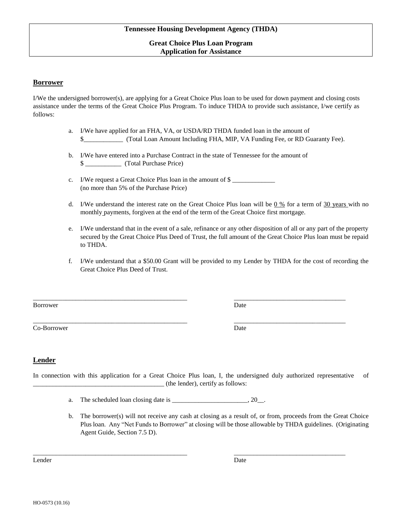## **Great Choice Plus Loan Program Application for Assistance**

### **Borrower**

I/We the undersigned borrower(s), are applying for a Great Choice Plus loan to be used for down payment and closing costs assistance under the terms of the Great Choice Plus Program. To induce THDA to provide such assistance, I/we certify as follows:

- a. I/We have applied for an FHA, VA, or USDA/RD THDA funded loan in the amount of \$\_\_\_\_\_\_\_\_\_\_\_\_ (Total Loan Amount Including FHA, MIP, VA Funding Fee, or RD Guaranty Fee).
- b. I/We have entered into a Purchase Contract in the state of Tennessee for the amount of \$ \_\_\_\_\_\_\_\_\_\_\_ (Total Purchase Price)

\_\_\_\_\_\_\_\_\_\_\_\_\_\_\_\_\_\_\_\_\_\_\_\_\_\_\_\_\_\_\_\_\_\_\_\_\_\_\_\_\_\_\_\_\_\_\_ \_\_\_\_\_\_\_\_\_\_\_\_\_\_\_\_\_\_\_\_\_\_\_\_\_\_\_\_\_\_\_\_\_\_

- c. I/We request a Great Choice Plus loan in the amount of \$ (no more than 5% of the Purchase Price)
- d. I/We understand the interest rate on the Great Choice Plus loan will be  $0\%$  for a term of 30 years with no monthly payments, forgiven at the end of the term of the Great Choice first mortgage.
- e. I/We understand that in the event of a sale, refinance or any other disposition of all or any part of the property secured by the Great Choice Plus Deed of Trust, the full amount of the Great Choice Plus loan must be repaid to THDA.
- f. I/We understand that a \$50.00 Grant will be provided to my Lender by THDA for the cost of recording the Great Choice Plus Deed of Trust.

Borrower Date

Co-Borrower Date

\_\_\_\_\_\_\_\_\_\_\_\_\_\_\_\_\_\_\_\_\_\_\_\_\_\_\_\_\_\_\_\_\_\_\_\_\_\_\_\_\_\_\_\_\_\_\_ \_\_\_\_\_\_\_\_\_\_\_\_\_\_\_\_\_\_\_\_\_\_\_\_\_\_\_\_\_\_\_\_\_\_

# **Lender**

In connection with this application for a Great Choice Plus loan, I, the undersigned duly authorized representative of \_\_\_\_\_\_\_\_\_\_\_\_\_\_\_\_\_\_\_\_\_\_\_\_\_\_\_\_\_\_\_\_\_\_\_\_\_\_\_\_ (the lender), certify as follows:

\_\_\_\_\_\_\_\_\_\_\_\_\_\_\_\_\_\_\_\_\_\_\_\_\_\_\_\_\_\_\_\_\_\_\_\_\_\_\_\_\_\_\_\_\_\_\_ \_\_\_\_\_\_\_\_\_\_\_\_\_\_\_\_\_\_\_\_\_\_\_\_\_\_\_\_\_\_\_\_\_\_

- a. The scheduled loan closing date is  $\frac{1}{2}$   $\frac{1}{2}$   $\frac{1}{2}$   $\frac{1}{2}$   $\frac{1}{2}$
- b. The borrower(s) will not receive any cash at closing as a result of, or from, proceeds from the Great Choice Plus loan. Any "Net Funds to Borrower" at closing will be those allowable by THDA guidelines. (Originating Agent Guide, Section 7.5 D).

Lender Date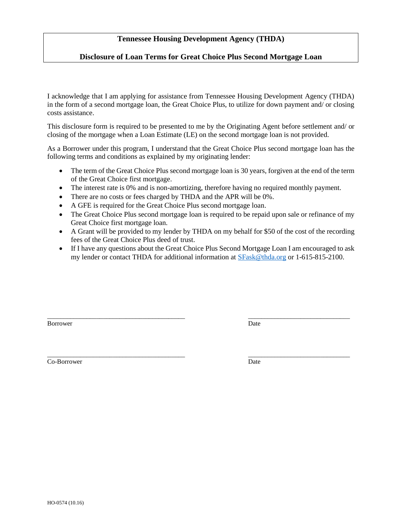# **Tennessee Housing Development Agency (THDA)**

## **Disclosure of Loan Terms for Great Choice Plus Second Mortgage Loan**

I acknowledge that I am applying for assistance from Tennessee Housing Development Agency (THDA) in the form of a second mortgage loan, the Great Choice Plus, to utilize for down payment and/ or closing costs assistance.

This disclosure form is required to be presented to me by the Originating Agent before settlement and/ or closing of the mortgage when a Loan Estimate (LE) on the second mortgage loan is not provided.

As a Borrower under this program, I understand that the Great Choice Plus second mortgage loan has the following terms and conditions as explained by my originating lender:

- The term of the Great Choice Plus second mortgage loan is 30 years, for given at the end of the term of the Great Choice first mortgage.
- The interest rate is 0% and is non-amortizing, therefore having no required monthly payment.
- There are no costs or fees charged by THDA and the APR will be  $0\%$ .
- A GFE is required for the Great Choice Plus second mortgage loan.
- The Great Choice Plus second mortgage loan is required to be repaid upon sale or refinance of my Great Choice first mortgage loan.
- A Grant will be provided to my lender by THDA on my behalf for \$50 of the cost of the recording fees of the Great Choice Plus deed of trust.
- If I have any questions about the Great Choice Plus Second Mortgage Loan I am encouraged to ask my lender or contact THDA for additional information at [SFask@thda.org](mailto:SFask@thda.org) or 1-615-815-2100.

\_\_\_\_\_\_\_\_\_\_\_\_\_\_\_\_\_\_\_\_\_\_\_\_\_\_\_\_\_\_\_\_\_\_\_\_\_\_\_\_\_\_ \_\_\_\_\_\_\_\_\_\_\_\_\_\_\_\_\_\_\_\_\_\_\_\_\_\_\_\_\_\_\_

\_\_\_\_\_\_\_\_\_\_\_\_\_\_\_\_\_\_\_\_\_\_\_\_\_\_\_\_\_\_\_\_\_\_\_\_\_\_\_\_\_\_ \_\_\_\_\_\_\_\_\_\_\_\_\_\_\_\_\_\_\_\_\_\_\_\_\_\_\_\_\_\_\_

Borrower Date

Co-Borrower Date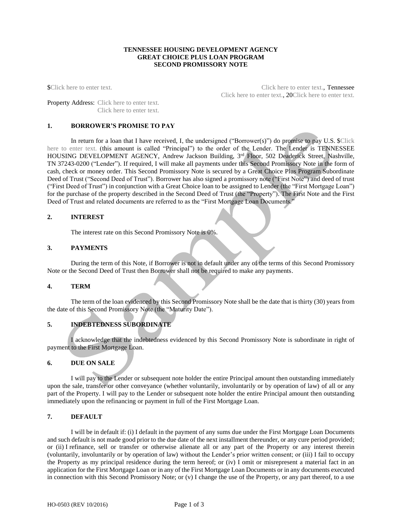### **TENNESSEE HOUSING DEVELOPMENT AGENCY GREAT CHOICE PLUS LOAN PROGRAM SECOND PROMISSORY NOTE**

\$Click here to enter text. Click here to enter text., Tennessee Click here to enter text., 20Click here to enter text.

Property Address: Click here to enter text. Click here to enter text.

### **1. BORROWER'S PROMISE TO PAY**

In return for a loan that I have received, I, the undersigned ("Borrower(s)") do promise to pay U.S. \$Click here to enter text. (this amount is called "Principal") to the order of the Lender. The Lender is TENNESSEE HOUSING DEVELOPMENT AGENCY, Andrew Jackson Building, 3<sup>rd</sup> Floor, 502 Deaderick Street, Nashville, TN 37243-0200 ("Lender"). If required, I will make all payments under this Second Promissory Note in the form of cash, check or money order. This Second Promissory Note is secured by a Great Choice Plus Program Subordinate Deed of Trust ("Second Deed of Trust"). Borrower has also signed a promissory note ("First Note") and deed of trust ("First Deed of Trust") in conjunction with a Great Choice loan to be assigned to Lender (the "First Mortgage Loan") for the purchase of the property described in the Second Deed of Trust (the "Property"). The First Note and the First Deed of Trust and related documents are referred to as the "First Mortgage Loan Documents."

### **2. INTEREST**

The interest rate on this Second Promissory Note is 0%.

#### **3. PAYMENTS**

During the term of this Note, if Borrower is not in default under any of the terms of this Second Promissory Note or the Second Deed of Trust then Borrower shall not be required to make any payments.

#### **4. TERM**

The term of the loan evidenced by this Second Promissory Note shall be the date that is thirty (30) years from the date of this Second Promissory Note (the "Maturity Date").

## **5. INDEBTEDNESS SUBORDINATE**

I acknowledge that the indebtedness evidenced by this Second Promissory Note is subordinate in right of payment to the First Mortgage Loan.

### **6. DUE ON SALE**

I will pay to the Lender or subsequent note holder the entire Principal amount then outstanding immediately upon the sale, transfer or other conveyance (whether voluntarily, involuntarily or by operation of law) of all or any part of the Property. I will pay to the Lender or subsequent note holder the entire Principal amount then outstanding immediately upon the refinancing or payment in full of the First Mortgage Loan.

### **7. DEFAULT**

I will be in default if: (i) I default in the payment of any sums due under the First Mortgage Loan Documents and such default is not made good prior to the due date of the next installment thereunder, or any cure period provided; or (ii) I refinance, sell or transfer or otherwise alienate all or any part of the Property or any interest therein (voluntarily, involuntarily or by operation of law) without the Lender's prior written consent; or (iii) I fail to occupy the Property as my principal residence during the term hereof; or (iv) I omit or misrepresent a material fact in an application for the First Mortgage Loan or in any of the First Mortgage Loan Documents or in any documents executed in connection with this Second Promissory Note; or (v) I change the use of the Property, or any part thereof, to a use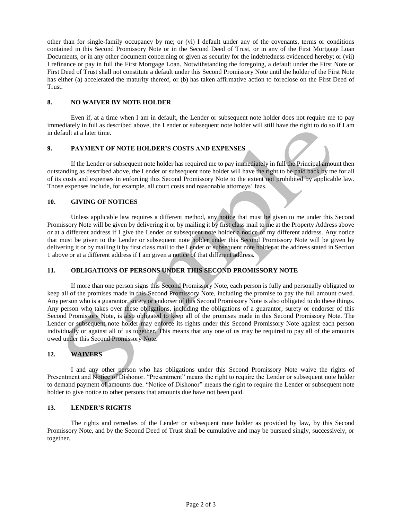other than for single-family occupancy by me; or (vi) I default under any of the covenants, terms or conditions contained in this Second Promissory Note or in the Second Deed of Trust, or in any of the First Mortgage Loan Documents, or in any other document concerning or given as security for the indebtedness evidenced hereby; or (vii) I refinance or pay in full the First Mortgage Loan. Notwithstanding the foregoing, a default under the First Note or First Deed of Trust shall not constitute a default under this Second Promissory Note until the holder of the First Note has either (a) accelerated the maturity thereof, or (b) has taken affirmative action to foreclose on the First Deed of Trust.

### **8. NO WAIVER BY NOTE HOLDER**

Even if, at a time when I am in default, the Lender or subsequent note holder does not require me to pay immediately in full as described above, the Lender or subsequent note holder will still have the right to do so if I am in default at a later time.

## **9. PAYMENT OF NOTE HOLDER'S COSTS AND EXPENSES**

If the Lender or subsequent note holder has required me to pay immediately in full the Principal amount then outstanding as described above, the Lender or subsequent note holder will have the right to be paid back by me for all of its costs and expenses in enforcing this Second Promissory Note to the extent not prohibited by applicable law. Those expenses include, for example, all court costs and reasonable attorneys' fees.

## **10. GIVING OF NOTICES**

Unless applicable law requires a different method, any notice that must be given to me under this Second Promissory Note will be given by delivering it or by mailing it by first class mail to me at the Property Address above or at a different address if I give the Lender or subsequent note holder a notice of my different address. Any notice that must be given to the Lender or subsequent note holder under this Second Promissory Note will be given by delivering it or by mailing it by first class mail to the Lender or subsequent note holder at the address stated in Section 1 above or at a different address if I am given a notice of that different address.

# **11. OBLIGATIONS OF PERSONS UNDER THIS SECOND PROMISSORY NOTE**

If more than one person signs this Second Promissory Note, each person is fully and personally obligated to keep all of the promises made in this Second Promissory Note, including the promise to pay the full amount owed. Any person who is a guarantor, surety or endorser of this Second Promissory Note is also obligated to do these things. Any person who takes over these obligations, including the obligations of a guarantor, surety or endorser of this Second Promissory Note, is also obligated to keep all of the promises made in this Second Promissory Note. The Lender or subsequent note holder may enforce its rights under this Second Promissory Note against each person individually or against all of us together. This means that any one of us may be required to pay all of the amounts owed under this Second Promissory Note.

## **12. WAIVERS**

I and any other person who has obligations under this Second Promissory Note waive the rights of Presentment and Notice of Dishonor. "Presentment" means the right to require the Lender or subsequent note holder to demand payment of amounts due. "Notice of Dishonor" means the right to require the Lender or subsequent note holder to give notice to other persons that amounts due have not been paid.

### **13. LENDER'S RIGHTS**

The rights and remedies of the Lender or subsequent note holder as provided by law, by this Second Promissory Note, and by the Second Deed of Trust shall be cumulative and may be pursued singly, successively, or together.